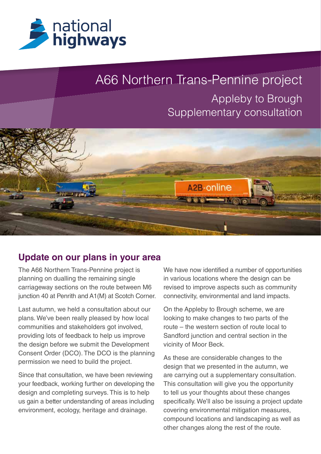

# A66 Northern Trans-Pennine project

## Appleby to Brough Supplementary consultation



#### **Update on our plans in your area**

The A66 Northern Trans-Pennine project is planning on dualling the remaining single carriageway sections on the route between M6 junction 40 at Penrith and A1(M) at Scotch Corner.

Last autumn, we held a consultation about our plans. We've been really pleased by how local communities and stakeholders got involved, providing lots of feedback to help us improve the design before we submit the Development Consent Order (DCO). The DCO is the planning permission we need to build the project.

Since that consultation, we have been reviewing your feedback, working further on developing the design and completing surveys. This is to help us gain a better understanding of areas including environment, ecology, heritage and drainage.

We have now identified a number of opportunities in various locations where the design can be revised to improve aspects such as community connectivity, environmental and land impacts.

On the Appleby to Brough scheme, we are looking to make changes to two parts of the route – the western section of route local to Sandford junction and central section in the vicinity of Moor Beck.

As these are considerable changes to the design that we presented in the autumn, we are carrying out a supplementary consultation. This consultation will give you the opportunity to tell us your thoughts about these changes specifically. We'll also be issuing a project update covering environmental mitigation measures, compound locations and landscaping as well as other changes along the rest of the route.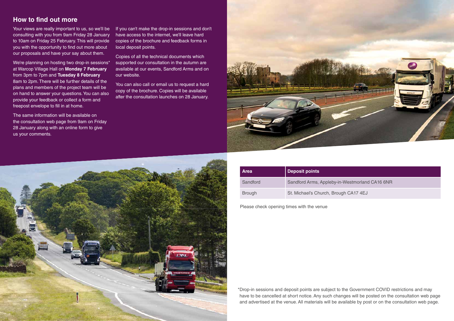#### **How to find out more**

Your views are really important to us, so we'll be consulting with you from 9am Friday 28 January to 10am on Friday 25 February. This will provide you with the opportunity to find out more about our proposals and have your say about them.

We're planning on hosting two drop-in sessions\* at Warcop Village Hall on **Monday 7 February** from 3pm to 7pm and **Tuesday 8 February** 8am to 2pm. There will be further details of the plans and members of the project team will be on hand to answer your questions. You can also provide your feedback or collect a form and freepost envelope to fill in at home.

The same information will be available on the consultation web page from 9am on Friday 28 January along with an online form to give us your comments.

If you can't make the drop-in sessions and don't have access to the internet, we'll leave hard copies of the brochure and feedback forms in local deposit points.

Copies of all the technical documents which supported our consultation in the autumn are available at our events, Sandford Arms and on our website.

You can also call or email us to request a hard copy of the brochure. Copies will be available after the consultation launches on 28 January.



\*Drop-in sessions and deposit points are subject to the Government COVID restrictions and may have to be cancelled at short notice. Any such changes will be posted on the consultation web page and advertised at the venue. All materials will be available by post or on the consultation web page.



#### Westmorland CA16 6NR

gh CA17 4EJ

| <b>Area</b>   | <b>Deposit points</b>       |
|---------------|-----------------------------|
| Sandford      | Sandford Arms, Appleby-in-  |
| <b>Brough</b> | St. Michael's Church, Broug |

Please check opening times with the venue